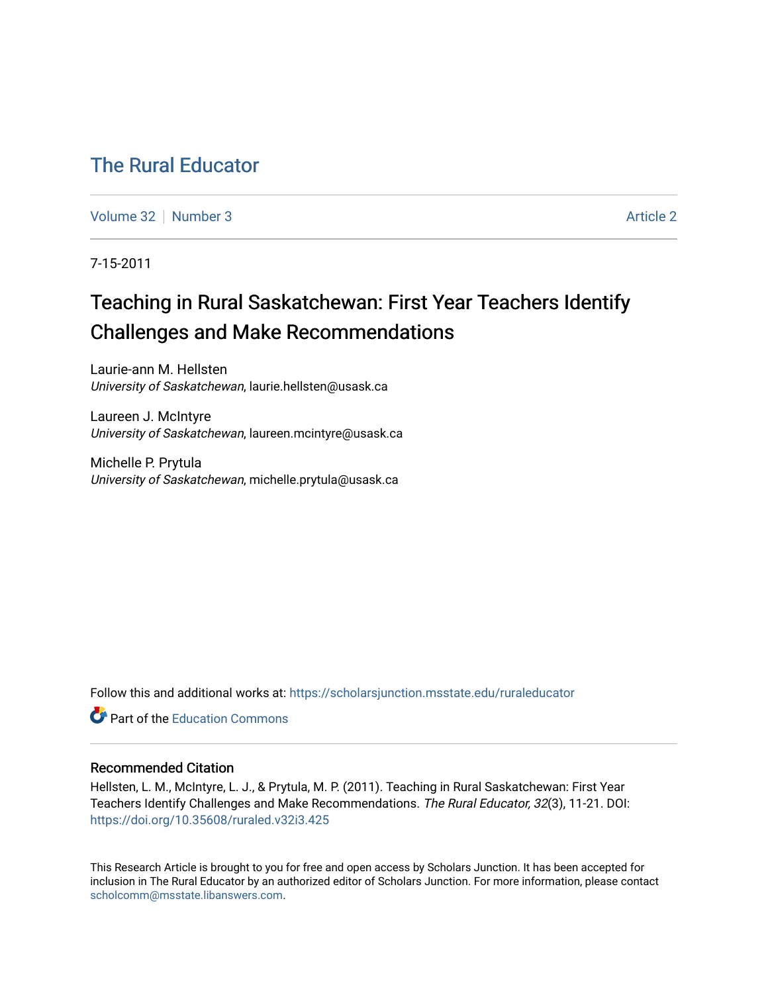## [The Rural Educator](https://scholarsjunction.msstate.edu/ruraleducator)

[Volume 32](https://scholarsjunction.msstate.edu/ruraleducator/vol32) [Number 3](https://scholarsjunction.msstate.edu/ruraleducator/vol32/iss3) Article 2

7-15-2011

# Teaching in Rural Saskatchewan: First Year Teachers Identify Challenges and Make Recommendations

Laurie-ann M. Hellsten University of Saskatchewan, laurie.hellsten@usask.ca

Laureen J. McIntyre University of Saskatchewan, laureen.mcintyre@usask.ca

Michelle P. Prytula University of Saskatchewan, michelle.prytula@usask.ca

Follow this and additional works at: [https://scholarsjunction.msstate.edu/ruraleducator](https://scholarsjunction.msstate.edu/ruraleducator?utm_source=scholarsjunction.msstate.edu%2Fruraleducator%2Fvol32%2Fiss3%2F2&utm_medium=PDF&utm_campaign=PDFCoverPages)

**C** Part of the [Education Commons](http://network.bepress.com/hgg/discipline/784?utm_source=scholarsjunction.msstate.edu%2Fruraleducator%2Fvol32%2Fiss3%2F2&utm_medium=PDF&utm_campaign=PDFCoverPages)

## Recommended Citation

Hellsten, L. M., McIntyre, L. J., & Prytula, M. P. (2011). Teaching in Rural Saskatchewan: First Year Teachers Identify Challenges and Make Recommendations. The Rural Educator, 32(3), 11-21. DOI: <https://doi.org/10.35608/ruraled.v32i3.425>

This Research Article is brought to you for free and open access by Scholars Junction. It has been accepted for inclusion in The Rural Educator by an authorized editor of Scholars Junction. For more information, please contact [scholcomm@msstate.libanswers.com.](mailto:scholcomm@msstate.libanswers.com)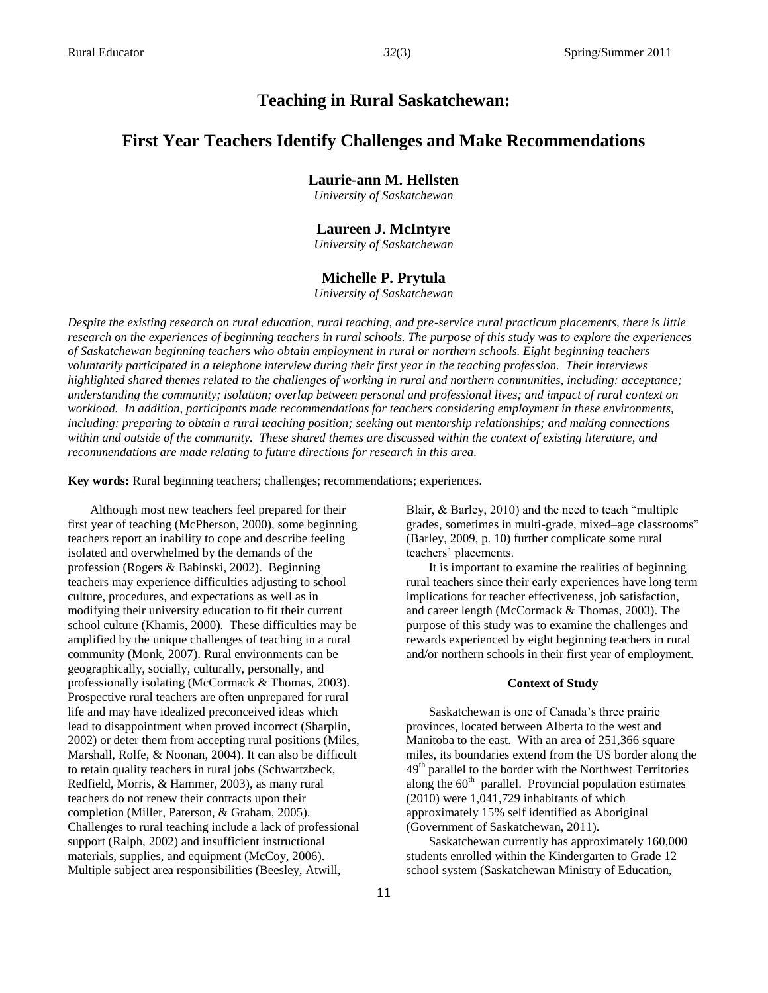## **Teaching in Rural Saskatchewan:**

## **First Year Teachers Identify Challenges and Make Recommendations**

### **Laurie-ann M. Hellsten**

*University of Saskatchewan*

#### **Laureen J. McIntyre**

*University of Saskatchewan*

#### **Michelle P. Prytula**

*University of Saskatchewan*

*Despite the existing research on rural education, rural teaching, and pre-service rural practicum placements, there is little research on the experiences of beginning teachers in rural schools. The purpose of this study was to explore the experiences of Saskatchewan beginning teachers who obtain employment in rural or northern schools. Eight beginning teachers voluntarily participated in a telephone interview during their first year in the teaching profession. Their interviews highlighted shared themes related to the challenges of working in rural and northern communities, including: acceptance; understanding the community; isolation; overlap between personal and professional lives; and impact of rural context on workload. In addition, participants made recommendations for teachers considering employment in these environments, including: preparing to obtain a rural teaching position; seeking out mentorship relationships; and making connections within and outside of the community. These shared themes are discussed within the context of existing literature, and recommendations are made relating to future directions for research in this area.* 

**Key words:** Rural beginning teachers; challenges; recommendations; experiences.

Although most new teachers feel prepared for their first year of teaching (McPherson, 2000), some beginning teachers report an inability to cope and describe feeling isolated and overwhelmed by the demands of the profession (Rogers & Babinski, 2002). Beginning teachers may experience difficulties adjusting to school culture, procedures, and expectations as well as in modifying their university education to fit their current school culture (Khamis, 2000). These difficulties may be amplified by the unique challenges of teaching in a rural community (Monk, 2007). Rural environments can be geographically, socially, culturally, personally, and professionally isolating (McCormack & Thomas, 2003). Prospective rural teachers are often unprepared for rural life and may have idealized preconceived ideas which lead to disappointment when proved incorrect (Sharplin, 2002) or deter them from accepting rural positions (Miles, Marshall, Rolfe, & Noonan, 2004). It can also be difficult to retain quality teachers in rural jobs (Schwartzbeck, Redfield, Morris, & Hammer, 2003), as many rural teachers do not renew their contracts upon their completion (Miller, Paterson, & Graham, 2005). Challenges to rural teaching include a lack of professional support (Ralph, 2002) and insufficient instructional materials, supplies, and equipment (McCoy, 2006). Multiple subject area responsibilities (Beesley, Atwill,

Blair, & Barley, 2010) and the need to teach "multiple grades, sometimes in multi-grade, mixed–age classrooms" (Barley, 2009, p. 10) further complicate some rural teachers' placements.

It is important to examine the realities of beginning rural teachers since their early experiences have long term implications for teacher effectiveness, job satisfaction, and career length (McCormack & Thomas, 2003). The purpose of this study was to examine the challenges and rewards experienced by eight beginning teachers in rural and/or northern schools in their first year of employment.

#### **Context of Study**

Saskatchewan is one of Canada's three prairie provinces, located between Alberta to the west and Manitoba to the east. With an area of 251,366 square miles, its boundaries extend from the US border along the  $49<sup>th</sup>$  parallel to the border with the Northwest Territories along the  $60<sup>th</sup>$  parallel. Provincial population estimates (2010) were 1,041,729 inhabitants of which approximately 15% self identified as Aboriginal (Government of Saskatchewan, 2011).

Saskatchewan currently has approximately 160,000 students enrolled within the Kindergarten to Grade 12 school system (Saskatchewan Ministry of Education,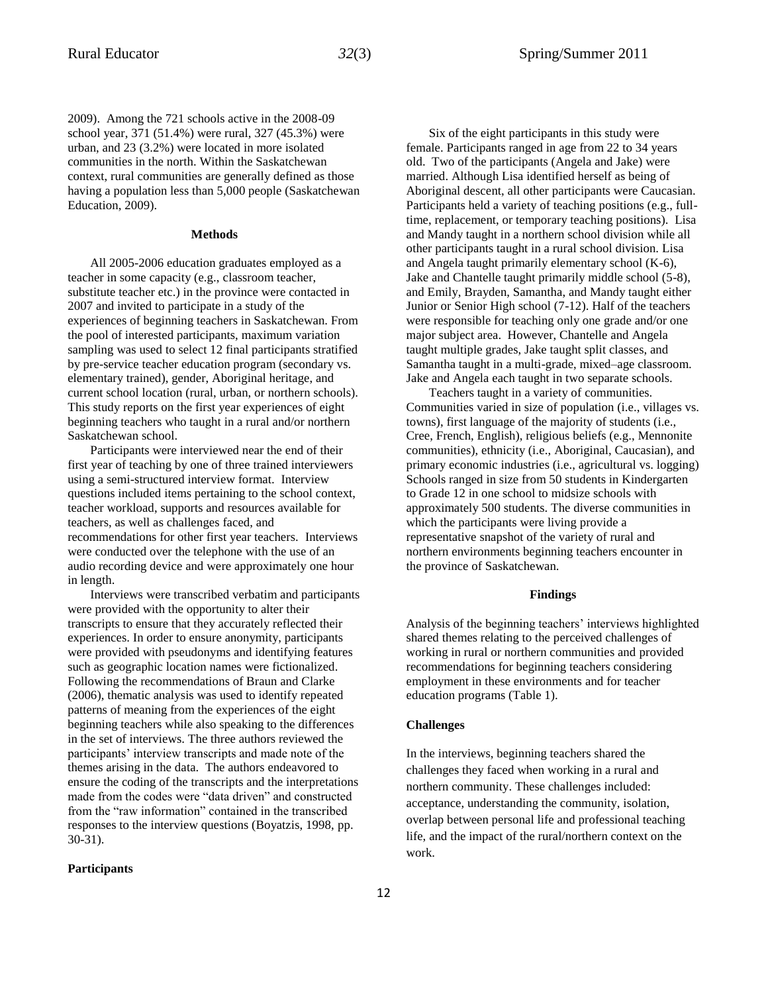2009). Among the 721 schools active in the 2008-09 school year, 371 (51.4%) were rural, 327 (45.3%) were urban, and 23 (3.2%) were located in more isolated communities in the north. Within the Saskatchewan context, rural communities are generally defined as those having a population less than 5,000 people (Saskatchewan Education, 2009).

#### **Methods**

All 2005-2006 education graduates employed as a teacher in some capacity (e.g., classroom teacher, substitute teacher etc.) in the province were contacted in 2007 and invited to participate in a study of the experiences of beginning teachers in Saskatchewan. From the pool of interested participants, maximum variation sampling was used to select 12 final participants stratified by pre-service teacher education program (secondary vs. elementary trained), gender, Aboriginal heritage, and current school location (rural, urban, or northern schools). This study reports on the first year experiences of eight beginning teachers who taught in a rural and/or northern Saskatchewan school.

Participants were interviewed near the end of their first year of teaching by one of three trained interviewers using a semi-structured interview format. Interview questions included items pertaining to the school context, teacher workload, supports and resources available for teachers, as well as challenges faced, and recommendations for other first year teachers. Interviews were conducted over the telephone with the use of an audio recording device and were approximately one hour in length.

Interviews were transcribed verbatim and participants were provided with the opportunity to alter their transcripts to ensure that they accurately reflected their experiences. In order to ensure anonymity, participants were provided with pseudonyms and identifying features such as geographic location names were fictionalized. Following the recommendations of Braun and Clarke (2006), thematic analysis was used to identify repeated patterns of meaning from the experiences of the eight beginning teachers while also speaking to the differences in the set of interviews. The three authors reviewed the participants' interview transcripts and made note of the themes arising in the data. The authors endeavored to ensure the coding of the transcripts and the interpretations made from the codes were "data driven" and constructed from the "raw information" contained in the transcribed responses to the interview questions (Boyatzis, 1998, pp. 30-31).

**Participants**

Six of the eight participants in this study were female. Participants ranged in age from 22 to 34 years old. Two of the participants (Angela and Jake) were married. Although Lisa identified herself as being of Aboriginal descent, all other participants were Caucasian. Participants held a variety of teaching positions (e.g., fulltime, replacement, or temporary teaching positions). Lisa and Mandy taught in a northern school division while all other participants taught in a rural school division. Lisa and Angela taught primarily elementary school (K-6), Jake and Chantelle taught primarily middle school (5-8), and Emily, Brayden, Samantha, and Mandy taught either Junior or Senior High school (7-12). Half of the teachers were responsible for teaching only one grade and/or one major subject area. However, Chantelle and Angela taught multiple grades, Jake taught split classes, and Samantha taught in a multi-grade, mixed–age classroom. Jake and Angela each taught in two separate schools.

Teachers taught in a variety of communities. Communities varied in size of population (i.e., villages vs. towns), first language of the majority of students (i.e., Cree, French, English), religious beliefs (e.g., Mennonite communities), ethnicity (i.e., Aboriginal, Caucasian), and primary economic industries (i.e., agricultural vs. logging) Schools ranged in size from 50 students in Kindergarten to Grade 12 in one school to midsize schools with approximately 500 students. The diverse communities in which the participants were living provide a representative snapshot of the variety of rural and northern environments beginning teachers encounter in the province of Saskatchewan.

#### **Findings**

Analysis of the beginning teachers' interviews highlighted shared themes relating to the perceived challenges of working in rural or northern communities and provided recommendations for beginning teachers considering employment in these environments and for teacher education programs (Table 1).

#### **Challenges**

In the interviews, beginning teachers shared the challenges they faced when working in a rural and northern community. These challenges included: acceptance, understanding the community, isolation, overlap between personal life and professional teaching life, and the impact of the rural/northern context on the work.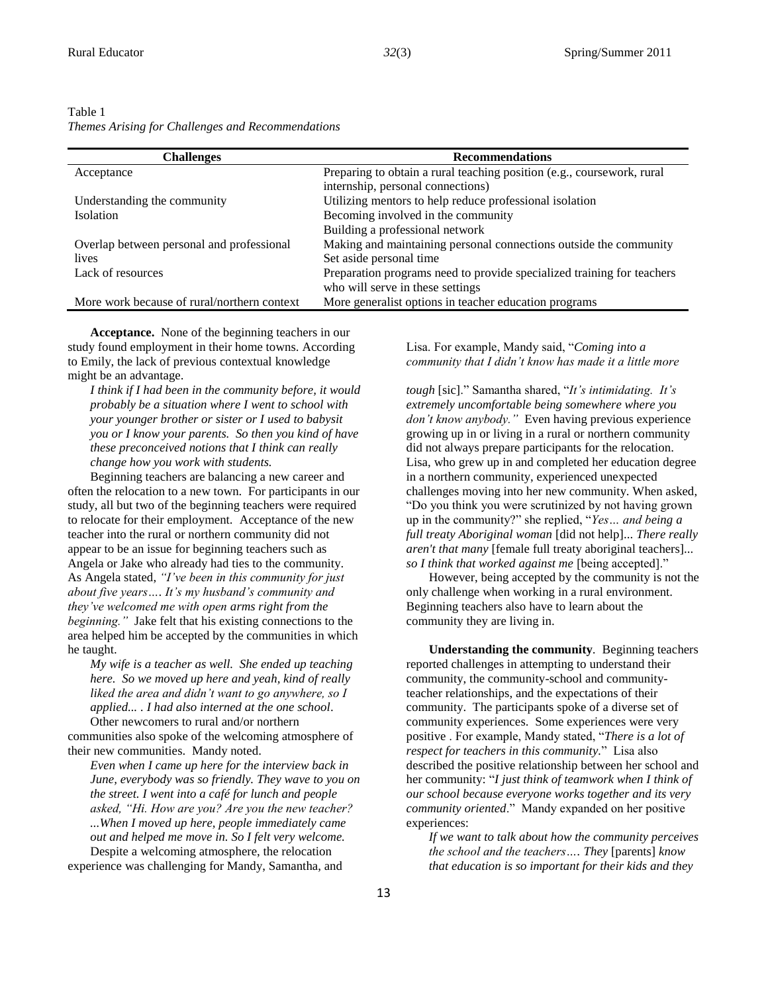Table 1

| <b>Challenges</b>                           | <b>Recommendations</b>                                                 |
|---------------------------------------------|------------------------------------------------------------------------|
| Acceptance                                  | Preparing to obtain a rural teaching position (e.g., coursework, rural |
|                                             | internship, personal connections)                                      |
| Understanding the community                 | Utilizing mentors to help reduce professional isolation                |
| <b>Isolation</b>                            | Becoming involved in the community                                     |
|                                             | Building a professional network                                        |
| Overlap between personal and professional   | Making and maintaining personal connections outside the community      |
| lives                                       | Set aside personal time                                                |
| Lack of resources                           | Preparation programs need to provide specialized training for teachers |
|                                             | who will serve in these settings                                       |
| More work because of rural/northern context | More generalist options in teacher education programs                  |

**Acceptance.** None of the beginning teachers in our study found employment in their home towns. According to Emily, the lack of previous contextual knowledge might be an advantage.

*I think if I had been in the community before, it would probably be a situation where I went to school with your younger brother or sister or I used to babysit you or I know your parents. So then you kind of have these preconceived notions that I think can really change how you work with students.*

Beginning teachers are balancing a new career and often the relocation to a new town. For participants in our study, all but two of the beginning teachers were required to relocate for their employment. Acceptance of the new teacher into the rural or northern community did not appear to be an issue for beginning teachers such as Angela or Jake who already had ties to the community. As Angela stated, *"I've been in this community for just about five years…. It's my husband's community and they've welcomed me with open arms right from the beginning."* Jake felt that his existing connections to the area helped him be accepted by the communities in which he taught.

*My wife is a teacher as well. She ended up teaching here. So we moved up here and yeah, kind of really liked the area and didn't want to go anywhere, so I applied... . I had also interned at the one school*. Other newcomers to rural and/or northern

communities also spoke of the welcoming atmosphere of their new communities. Mandy noted.

*Even when I came up here for the interview back in June, everybody was so friendly. They wave to you on the street. I went into a café for lunch and people asked, "Hi. How are you? Are you the new teacher? ...When I moved up here, people immediately came out and helped me move in. So I felt very welcome.*  Despite a welcoming atmosphere, the relocation

experience was challenging for Mandy, Samantha, and

Lisa. For example, Mandy said, "*Coming into a community that I didn't know has made it a little more* 

*tough* [sic]." Samantha shared, "*It's intimidating. It's extremely uncomfortable being somewhere where you don't know anybody."* Even having previous experience growing up in or living in a rural or northern community did not always prepare participants for the relocation. Lisa, who grew up in and completed her education degree in a northern community, experienced unexpected challenges moving into her new community. When asked, "Do you think you were scrutinized by not having grown up in the community?" she replied, "*Yes… and being a full treaty Aboriginal woman* [did not help]... *There really aren't that many* [female full treaty aboriginal teachers]... *so I think that worked against me* [being accepted]."

However, being accepted by the community is not the only challenge when working in a rural environment. Beginning teachers also have to learn about the community they are living in.

**Understanding the community***.* Beginning teachers reported challenges in attempting to understand their community, the community-school and communityteacher relationships, and the expectations of their community. The participants spoke of a diverse set of community experiences. Some experiences were very positive . For example, Mandy stated, "*There is a lot of respect for teachers in this community.*" Lisa also described the positive relationship between her school and her community: "*I just think of teamwork when I think of our school because everyone works together and its very community oriented*." Mandy expanded on her positive experiences:

*If we want to talk about how the community perceives the school and the teachers…. They* [parents] *know that education is so important for their kids and they*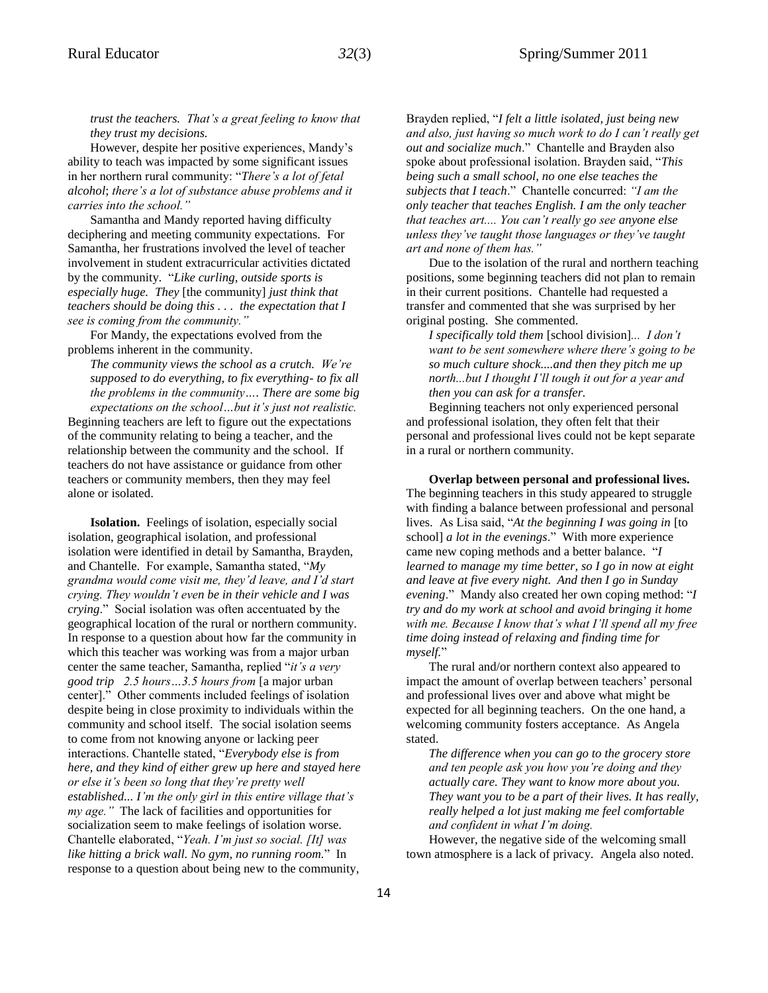*trust the teachers. That's a great feeling to know that they trust my decisions.* 

However, despite her positive experiences, Mandy's ability to teach was impacted by some significant issues in her northern rural community: "*There's a lot of fetal alcohol*; *there's a lot of substance abuse problems and it carries into the school."* 

Samantha and Mandy reported having difficulty deciphering and meeting community expectations. For Samantha, her frustrations involved the level of teacher involvement in student extracurricular activities dictated by the community. "*Like curling, outside sports is especially huge. They* [the community] *just think that teachers should be doing this . . . the expectation that I see is coming from the community."*

For Mandy, the expectations evolved from the problems inherent in the community.

*The community views the school as a crutch. We're supposed to do everything, to fix everything- to fix all the problems in the community…. There are some big expectations on the school…but it's just not realistic.* 

Beginning teachers are left to figure out the expectations of the community relating to being a teacher, and the relationship between the community and the school. If teachers do not have assistance or guidance from other teachers or community members, then they may feel alone or isolated.

**Isolation.** Feelings of isolation, especially social isolation, geographical isolation, and professional isolation were identified in detail by Samantha, Brayden, and Chantelle. For example, Samantha stated, "*My grandma would come visit me, they'd leave, and I'd start crying. They wouldn't even be in their vehicle and I was crying*." Social isolation was often accentuated by the geographical location of the rural or northern community. In response to a question about how far the community in which this teacher was working was from a major urban center the same teacher, Samantha, replied "*it's a very good trip 2.5 hours…3.5 hours from* [a major urban center]." Other comments included feelings of isolation despite being in close proximity to individuals within the community and school itself. The social isolation seems to come from not knowing anyone or lacking peer interactions. Chantelle stated, "*Everybody else is from here, and they kind of either grew up here and stayed here or else it's been so long that they're pretty well established... I'm the only girl in this entire village that's my age."* The lack of facilities and opportunities for socialization seem to make feelings of isolation worse. Chantelle elaborated, "*Yeah. I'm just so social. [It] was like hitting a brick wall. No gym, no running room.*" In response to a question about being new to the community,

Brayden replied, "*I felt a little isolated, just being new and also, just having so much work to do I can't really get out and socialize much*." Chantelle and Brayden also spoke about professional isolation. Brayden said, "*This being such a small school, no one else teaches the subjects that I teach*." Chantelle concurred: *"I am the only teacher that teaches English. I am the only teacher that teaches art.... You can't really go see anyone else unless they've taught those languages or they've taught art and none of them has."* 

Due to the isolation of the rural and northern teaching positions, some beginning teachers did not plan to remain in their current positions. Chantelle had requested a transfer and commented that she was surprised by her original posting. She commented.

*I specifically told them* [school division]*... I don't want to be sent somewhere where there's going to be so much culture shock....and then they pitch me up north...but I thought I'll tough it out for a year and then you can ask for a transfer.* 

Beginning teachers not only experienced personal and professional isolation, they often felt that their personal and professional lives could not be kept separate in a rural or northern community.

**Overlap between personal and professional lives.** The beginning teachers in this study appeared to struggle with finding a balance between professional and personal lives. As Lisa said, "*At the beginning I was going in* [to school] *a lot in the evenings*." With more experience came new coping methods and a better balance. "*I learned to manage my time better, so I go in now at eight and leave at five every night. And then I go in Sunday evening*." Mandy also created her own coping method: "*I try and do my work at school and avoid bringing it home with me. Because I know that's what I'll spend all my free time doing instead of relaxing and finding time for myself.*"

The rural and/or northern context also appeared to impact the amount of overlap between teachers' personal and professional lives over and above what might be expected for all beginning teachers. On the one hand, a welcoming community fosters acceptance. As Angela stated.

*The difference when you can go to the grocery store and ten people ask you how you're doing and they actually care. They want to know more about you. They want you to be a part of their lives. It has really, really helped a lot just making me feel comfortable and confident in what I'm doing.* 

However, the negative side of the welcoming small town atmosphere is a lack of privacy. Angela also noted.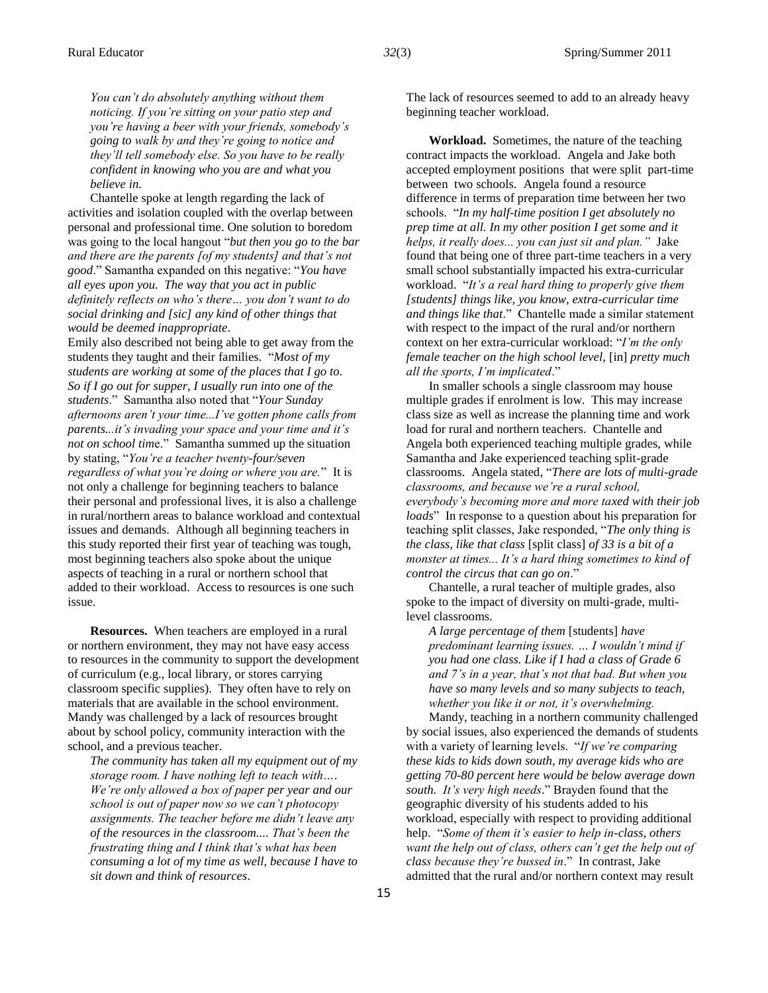*You can't do absolutely anything without them noticing. If you're sitting on your patio step and you're having a beer with your friends, somebody's going to walk by and they're going to notice and they'll tell somebody else. So you have to be really confident in knowing who you are and what you believe in.* 

Chantelle spoke at length regarding the lack of activities and isolation coupled with the overlap between personal and professional time. One solution to boredom was going to the local hangout "*but then you go to the bar and there are the parents [of my students] and that's not good*." Samantha expanded on this negative: "*You have all eyes upon you. The way that you act in public definitely reflects on who's there… you don't want to do social drinking and [sic] any kind of other things that would be deemed inappropriate*.

Emily also described not being able to get away from the students they taught and their families. "*Most of my students are working at some of the places that I go to. So if I go out for supper, I usually run into one of the students*." Samantha also noted that "*Your Sunday afternoons aren't your time...I've gotten phone calls from parents...it's invading your space and your time and it's not on school tim*e." Samantha summed up the situation by stating, "*You're a teacher twenty-four/seven regardless of what you're doing or where you are.*" It is not only a challenge for beginning teachers to balance their personal and professional lives, it is also a challenge in rural/northern areas to balance workload and contextual issues and demands. Although all beginning teachers in this study reported their first year of teaching was tough, most beginning teachers also spoke about the unique aspects of teaching in a rural or northern school that added to their workload. Access to resources is one such issue.

**Resources.** When teachers are employed in a rural or northern environment, they may not have easy access to resources in the community to support the development of curriculum (e.g., local library, or stores carrying classroom specific supplies). They often have to rely on materials that are available in the school environment. Mandy was challenged by a lack of resources brought about by school policy, community interaction with the school, and a previous teacher.

*The community has taken all my equipment out of my storage room. I have nothing left to teach with…. We're only allowed a box of paper per year and our school is out of paper now so we can't photocopy assignments. The teacher before me didn't leave any of the resources in the classroom.... That's been the frustrating thing and I think that's what has been consuming a lot of my time as well, because I have to sit down and think of resources*.

The lack of resources seemed to add to an already heavy beginning teacher workload.

**Workload.** Sometimes, the nature of the teaching contract impacts the workload. Angela and Jake both accepted employment positions that were split part-time between two schools. Angela found a resource difference in terms of preparation time between her two schools. "*In my half-time position I get absolutely no prep time at all. In my other position I get some and it helps, it really does... you can just sit and plan."* Jake found that being one of three part-time teachers in a very small school substantially impacted his extra-curricular workload. "*It's a real hard thing to properly give them [students] things like, you know, extra-curricular time and things like that*." Chantelle made a similar statement with respect to the impact of the rural and/or northern context on her extra-curricular workload: "*I'm the only female teacher on the high school level,* [in] *pretty much all the sports, I'm implicated*."

In smaller schools a single classroom may house multiple grades if enrolment is low. This may increase class size as well as increase the planning time and work load for rural and northern teachers. Chantelle and Angela both experienced teaching multiple grades, while Samantha and Jake experienced teaching split-grade classrooms. Angela stated, "*There are lots of multi-grade classrooms, and because we're a rural school, everybody's becoming more and more taxed with their job loads*" In response to a question about his preparation for teaching split classes, Jake responded, "*The only thing is the class, like that class* [split class] *of 33 is a bit of a monster at times... It's a hard thing sometimes to kind of control the circus that can go on*."

Chantelle, a rural teacher of multiple grades, also spoke to the impact of diversity on multi-grade, multilevel classrooms.

*A large percentage of them* [students] *have predominant learning issues. … I wouldn't mind if you had one class. Like if I had a class of Grade 6 and 7's in a year, that's not that bad. But when you have so many levels and so many subjects to teach, whether you like it or not, it's overwhelming.* 

Mandy, teaching in a northern community challenged by social issues, also experienced the demands of students with a variety of learning levels. "*If we're comparing these kids to kids down south, my average kids who are getting 70-80 percent here would be below average down south. It's very high needs*." Brayden found that the geographic diversity of his students added to his workload, especially with respect to providing additional help. "*Some of them it's easier to help in-class, others want the help out of class, others can't get the help out of class because they're bussed in*." In contrast, Jake admitted that the rural and/or northern context may result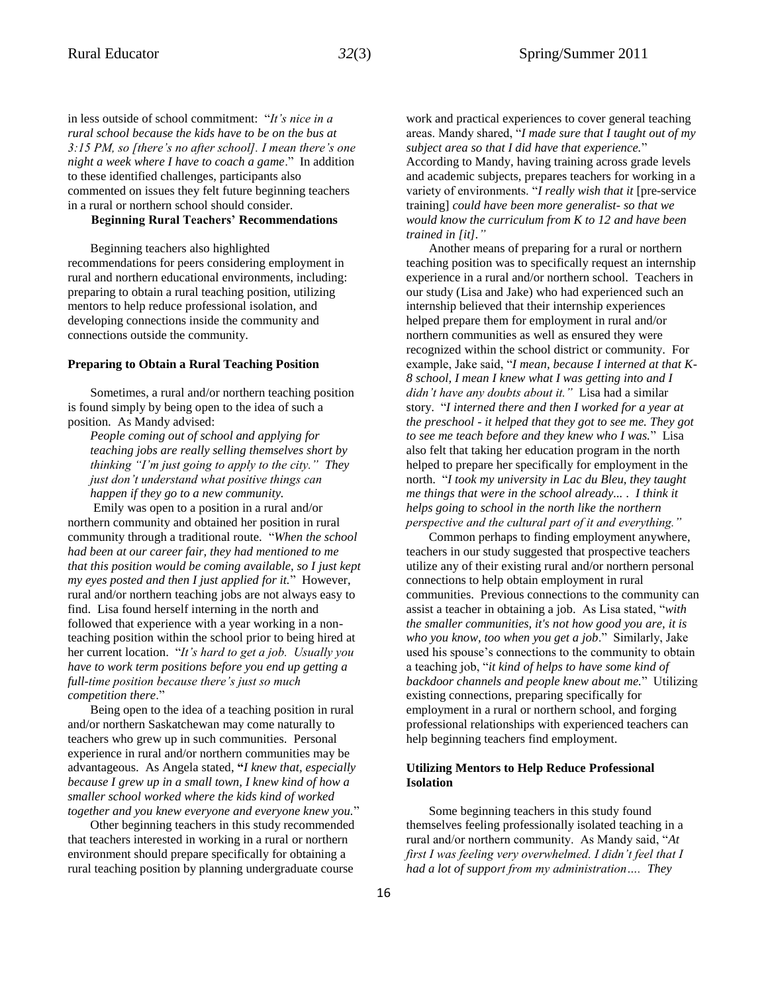in less outside of school commitment: "*It's nice in a rural school because the kids have to be on the bus at 3:15 PM, so [there's no after school]. I mean there's one night a week where I have to coach a game*." In addition to these identified challenges, participants also commented on issues they felt future beginning teachers in a rural or northern school should consider.

#### **Beginning Rural Teachers' Recommendations**

Beginning teachers also highlighted recommendations for peers considering employment in rural and northern educational environments, including: preparing to obtain a rural teaching position, utilizing mentors to help reduce professional isolation, and developing connections inside the community and connections outside the community.

#### **Preparing to Obtain a Rural Teaching Position**

Sometimes, a rural and/or northern teaching position is found simply by being open to the idea of such a position. As Mandy advised:

*People coming out of school and applying for teaching jobs are really selling themselves short by thinking "I'm just going to apply to the city." They just don't understand what positive things can happen if they go to a new community.*

Emily was open to a position in a rural and/or northern community and obtained her position in rural community through a traditional route. "*When the school had been at our career fair, they had mentioned to me that this position would be coming available, so I just kept my eyes posted and then I just applied for it.*" However, rural and/or northern teaching jobs are not always easy to find. Lisa found herself interning in the north and followed that experience with a year working in a nonteaching position within the school prior to being hired at her current location. "*It's hard to get a job. Usually you have to work term positions before you end up getting a full-time position because there's just so much competition there*."

Being open to the idea of a teaching position in rural and/or northern Saskatchewan may come naturally to teachers who grew up in such communities. Personal experience in rural and/or northern communities may be advantageous. As Angela stated, **"***I knew that, especially because I grew up in a small town, I knew kind of how a smaller school worked where the kids kind of worked together and you knew everyone and everyone knew you.*"

Other beginning teachers in this study recommended that teachers interested in working in a rural or northern environment should prepare specifically for obtaining a rural teaching position by planning undergraduate course

work and practical experiences to cover general teaching areas. Mandy shared, "*I made sure that I taught out of my subject area so that I did have that experience.*" According to Mandy, having training across grade levels and academic subjects, prepares teachers for working in a variety of environments. "*I really wish that it* [pre-service training] *could have been more generalist- so that we would know the curriculum from K to 12 and have been trained in [it]."*

Another means of preparing for a rural or northern teaching position was to specifically request an internship experience in a rural and/or northern school. Teachers in our study (Lisa and Jake) who had experienced such an internship believed that their internship experiences helped prepare them for employment in rural and/or northern communities as well as ensured they were recognized within the school district or community. For example, Jake said, "*I mean, because I interned at that K-8 school, I mean I knew what I was getting into and I didn't have any doubts about it."* Lisa had a similar story. "*I interned there and then I worked for a year at the preschool - it helped that they got to see me. They got to see me teach before and they knew who I was.*" Lisa also felt that taking her education program in the north helped to prepare her specifically for employment in the north. "*I took my university in Lac du Bleu, they taught me things that were in the school already... . I think it helps going to school in the north like the northern perspective and the cultural part of it and everything."*

Common perhaps to finding employment anywhere, teachers in our study suggested that prospective teachers utilize any of their existing rural and/or northern personal connections to help obtain employment in rural communities. Previous connections to the community can assist a teacher in obtaining a job. As Lisa stated, "*with the smaller communities, it's not how good you are, it is who you know, too when you get a job*." Similarly, Jake used his spouse's connections to the community to obtain a teaching job, "*it kind of helps to have some kind of backdoor channels and people knew about me.*" Utilizing existing connections, preparing specifically for employment in a rural or northern school, and forging professional relationships with experienced teachers can help beginning teachers find employment.

#### **Utilizing Mentors to Help Reduce Professional Isolation**

Some beginning teachers in this study found themselves feeling professionally isolated teaching in a rural and/or northern community. As Mandy said, "*At first I was feeling very overwhelmed. I didn't feel that I had a lot of support from my administration…. They*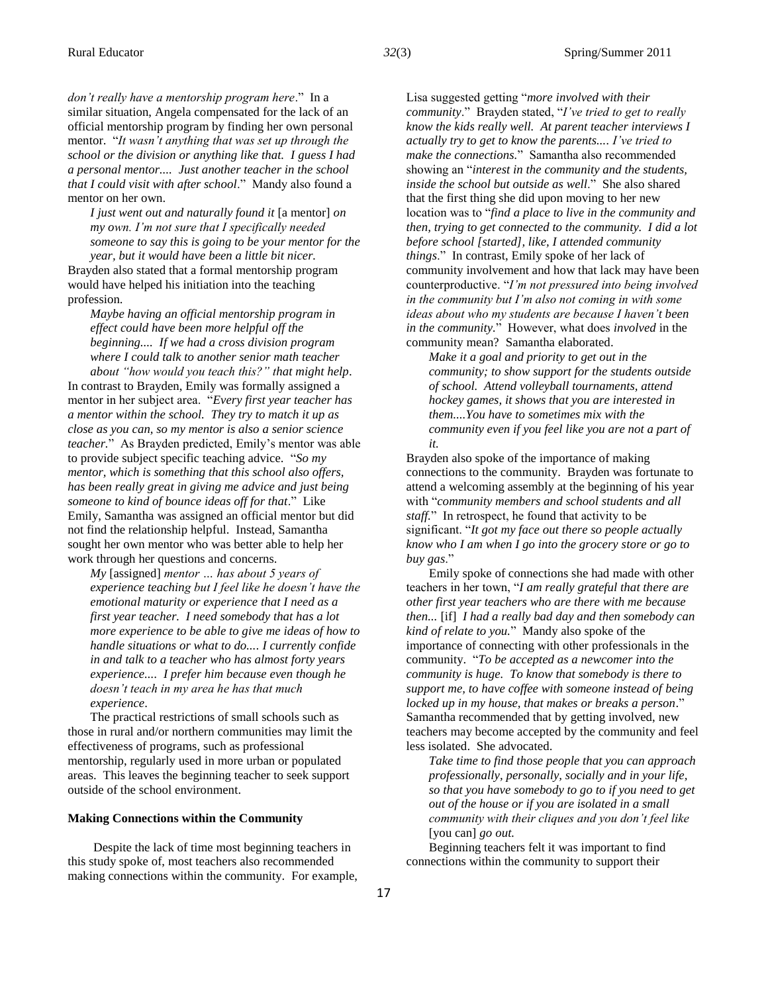*don't really have a mentorship program here*." In a similar situation, Angela compensated for the lack of an official mentorship program by finding her own personal mentor. "*It wasn't anything that was set up through the school or the division or anything like that. I guess I had* 

*a personal mentor.... Just another teacher in the school that I could visit with after school*." Mandy also found a mentor on her own.

*I just went out and naturally found it* [a mentor] *on my own. I'm not sure that I specifically needed someone to say this is going to be your mentor for the year, but it would have been a little bit nicer.* 

Brayden also stated that a formal mentorship program would have helped his initiation into the teaching profession.

*Maybe having an official mentorship program in effect could have been more helpful off the beginning.... If we had a cross division program where I could talk to another senior math teacher about "how would you teach this?" that might help*.

In contrast to Brayden, Emily was formally assigned a mentor in her subject area. "*Every first year teacher has a mentor within the school. They try to match it up as close as you can, so my mentor is also a senior science teacher.*" As Brayden predicted, Emily's mentor was able to provide subject specific teaching advice. "*So my mentor, which is something that this school also offers, has been really great in giving me advice and just being someone to kind of bounce ideas off for that*." Like Emily, Samantha was assigned an official mentor but did not find the relationship helpful. Instead, Samantha sought her own mentor who was better able to help her work through her questions and concerns.

*My* [assigned] *mentor … has about 5 years of experience teaching but I feel like he doesn't have the emotional maturity or experience that I need as a first year teacher. I need somebody that has a lot more experience to be able to give me ideas of how to handle situations or what to do.... I currently confide in and talk to a teacher who has almost forty years experience.... I prefer him because even though he doesn't teach in my area he has that much experience*.

The practical restrictions of small schools such as those in rural and/or northern communities may limit the effectiveness of programs, such as professional mentorship, regularly used in more urban or populated areas. This leaves the beginning teacher to seek support outside of the school environment.

#### **Making Connections within the Community**

Despite the lack of time most beginning teachers in this study spoke of, most teachers also recommended making connections within the community. For example, Lisa suggested getting "*more involved with their community*." Brayden stated, "*I've tried to get to really know the kids really well. At parent teacher interviews I actually try to get to know the parents.... I've tried to make the connections.*" Samantha also recommended showing an "*interest in the community and the students, inside the school but outside as well*." She also shared that the first thing she did upon moving to her new location was to "*find a place to live in the community and then, trying to get connected to the community. I did a lot before school [started], like, I attended community things*." In contrast, Emily spoke of her lack of community involvement and how that lack may have been counterproductive. "*I'm not pressured into being involved in the community but I'm also not coming in with some ideas about who my students are because I haven't been in the community.*" However, what does *involved* in the community mean? Samantha elaborated.

*Make it a goal and priority to get out in the community; to show support for the students outside of school. Attend volleyball tournaments, attend hockey games, it shows that you are interested in them....You have to sometimes mix with the community even if you feel like you are not a part of it.* 

Brayden also spoke of the importance of making connections to the community. Brayden was fortunate to attend a welcoming assembly at the beginning of his year with "*community members and school students and all staff.*" In retrospect, he found that activity to be significant. "*It got my face out there so people actually know who I am when I go into the grocery store or go to buy gas*."

Emily spoke of connections she had made with other teachers in her town, "*I am really grateful that there are other first year teachers who are there with me because then...* [if] *I had a really bad day and then somebody can kind of relate to you.*" Mandy also spoke of the importance of connecting with other professionals in the community. "*To be accepted as a newcomer into the community is huge. To know that somebody is there to support me, to have coffee with someone instead of being locked up in my house, that makes or breaks a person*." Samantha recommended that by getting involved, new teachers may become accepted by the community and feel less isolated. She advocated.

*Take time to find those people that you can approach professionally, personally, socially and in your life, so that you have somebody to go to if you need to get out of the house or if you are isolated in a small community with their cliques and you don't feel like*  [you can] *go out.* 

Beginning teachers felt it was important to find connections within the community to support their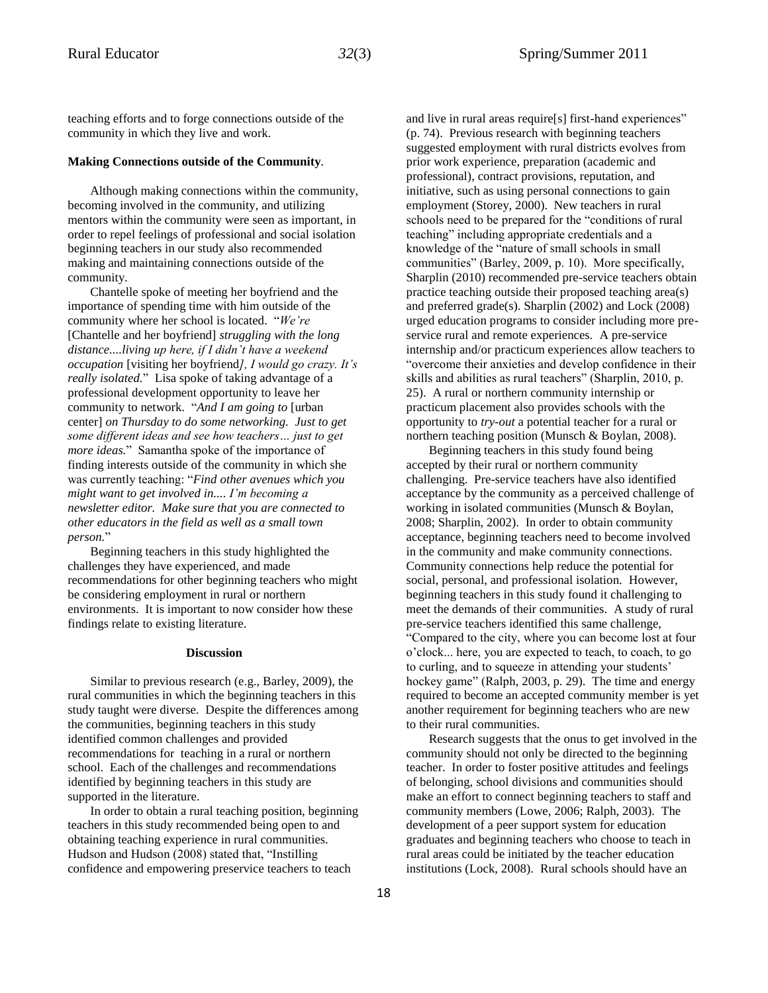teaching efforts and to forge connections outside of the community in which they live and work.

#### **Making Connections outside of the Community***.*

Although making connections within the community, becoming involved in the community, and utilizing mentors within the community were seen as important, in order to repel feelings of professional and social isolation beginning teachers in our study also recommended making and maintaining connections outside of the community.

Chantelle spoke of meeting her boyfriend and the importance of spending time with him outside of the community where her school is located. "*We're* [Chantelle and her boyfriend] *struggling with the long distance....living up here, if I didn't have a weekend occupation* [visiting her boyfriend*], I would go crazy. It's really isolated.*" Lisa spoke of taking advantage of a professional development opportunity to leave her community to network. "*And I am going to* [urban center] *on Thursday to do some networking. Just to get some different ideas and see how teachers… just to get more ideas.*" Samantha spoke of the importance of finding interests outside of the community in which she was currently teaching: "*Find other avenues which you might want to get involved in.... I'm becoming a newsletter editor. Make sure that you are connected to other educators in the field as well as a small town person.*"

Beginning teachers in this study highlighted the challenges they have experienced, and made recommendations for other beginning teachers who might be considering employment in rural or northern environments. It is important to now consider how these findings relate to existing literature.

#### **Discussion**

Similar to previous research (e.g., Barley, 2009), the rural communities in which the beginning teachers in this study taught were diverse. Despite the differences among the communities, beginning teachers in this study identified common challenges and provided recommendations for teaching in a rural or northern school. Each of the challenges and recommendations identified by beginning teachers in this study are supported in the literature.

In order to obtain a rural teaching position, beginning teachers in this study recommended being open to and obtaining teaching experience in rural communities. Hudson and Hudson (2008) stated that, "Instilling confidence and empowering preservice teachers to teach

and live in rural areas require[s] first-hand experiences" (p. 74). Previous research with beginning teachers suggested employment with rural districts evolves from prior work experience, preparation (academic and professional), contract provisions, reputation, and initiative, such as using personal connections to gain employment (Storey, 2000). New teachers in rural schools need to be prepared for the "conditions of rural teaching" including appropriate credentials and a knowledge of the "nature of small schools in small communities" (Barley, 2009, p. 10). More specifically, Sharplin (2010) recommended pre-service teachers obtain practice teaching outside their proposed teaching area(s) and preferred grade(s). Sharplin (2002) and Lock (2008) urged education programs to consider including more preservice rural and remote experiences. A pre-service internship and/or practicum experiences allow teachers to "overcome their anxieties and develop confidence in their skills and abilities as rural teachers" (Sharplin, 2010, p. 25). A rural or northern community internship or practicum placement also provides schools with the opportunity to *try-out* a potential teacher for a rural or northern teaching position (Munsch & Boylan, 2008).

Beginning teachers in this study found being accepted by their rural or northern community challenging. Pre-service teachers have also identified acceptance by the community as a perceived challenge of working in isolated communities (Munsch & Boylan, 2008; Sharplin, 2002). In order to obtain community acceptance, beginning teachers need to become involved in the community and make community connections. Community connections help reduce the potential for social, personal, and professional isolation. However, beginning teachers in this study found it challenging to meet the demands of their communities. A study of rural pre-service teachers identified this same challenge, "Compared to the city, where you can become lost at four o'clock... here, you are expected to teach, to coach, to go to curling, and to squeeze in attending your students' hockey game" (Ralph, 2003, p. 29). The time and energy required to become an accepted community member is yet another requirement for beginning teachers who are new to their rural communities.

Research suggests that the onus to get involved in the community should not only be directed to the beginning teacher. In order to foster positive attitudes and feelings of belonging, school divisions and communities should make an effort to connect beginning teachers to staff and community members (Lowe, 2006; Ralph, 2003). The development of a peer support system for education graduates and beginning teachers who choose to teach in rural areas could be initiated by the teacher education institutions (Lock, 2008). Rural schools should have an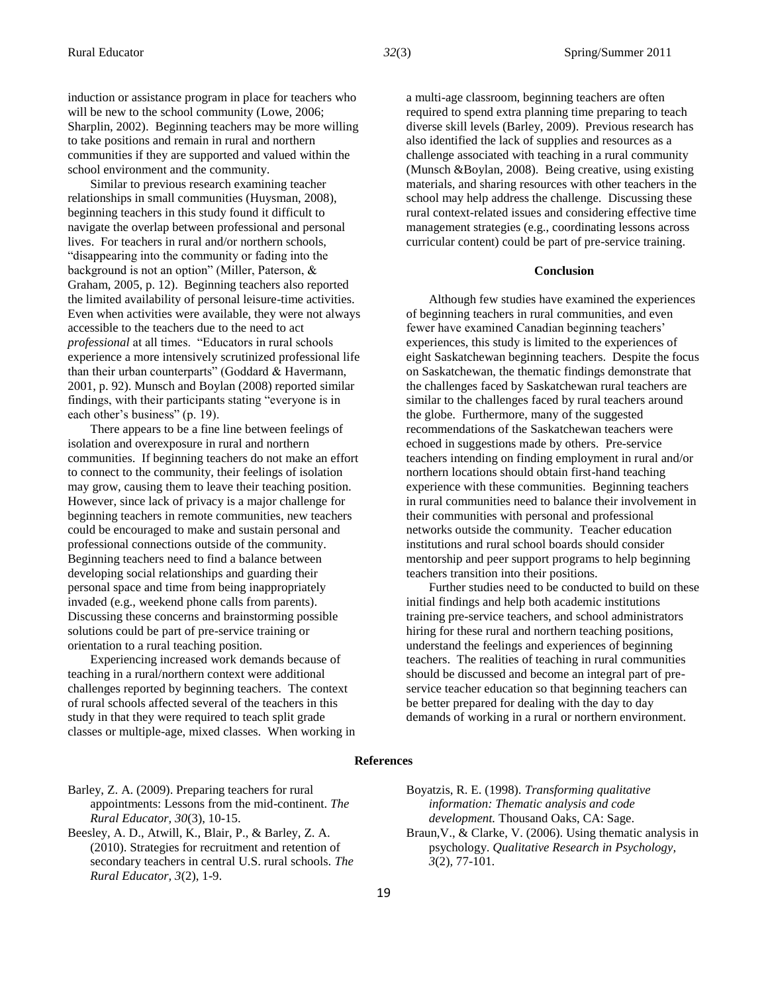induction or assistance program in place for teachers who will be new to the school community (Lowe, 2006; Sharplin, 2002). Beginning teachers may be more willing to take positions and remain in rural and northern communities if they are supported and valued within the school environment and the community.

Similar to previous research examining teacher relationships in small communities (Huysman, 2008), beginning teachers in this study found it difficult to navigate the overlap between professional and personal lives. For teachers in rural and/or northern schools, "disappearing into the community or fading into the background is not an option" (Miller, Paterson, & Graham, 2005, p. 12). Beginning teachers also reported the limited availability of personal leisure-time activities. Even when activities were available, they were not always accessible to the teachers due to the need to act *professional* at all times. "Educators in rural schools experience a more intensively scrutinized professional life than their urban counterparts" (Goddard & Havermann, 2001, p. 92). Munsch and Boylan (2008) reported similar findings, with their participants stating "everyone is in each other's business" (p. 19).

There appears to be a fine line between feelings of isolation and overexposure in rural and northern communities. If beginning teachers do not make an effort to connect to the community, their feelings of isolation may grow, causing them to leave their teaching position. However, since lack of privacy is a major challenge for beginning teachers in remote communities, new teachers could be encouraged to make and sustain personal and professional connections outside of the community. Beginning teachers need to find a balance between developing social relationships and guarding their personal space and time from being inappropriately invaded (e.g., weekend phone calls from parents). Discussing these concerns and brainstorming possible solutions could be part of pre-service training or orientation to a rural teaching position.

Experiencing increased work demands because of teaching in a rural/northern context were additional challenges reported by beginning teachers. The context of rural schools affected several of the teachers in this study in that they were required to teach split grade classes or multiple-age, mixed classes. When working in a multi-age classroom, beginning teachers are often required to spend extra planning time preparing to teach diverse skill levels (Barley, 2009). Previous research has also identified the lack of supplies and resources as a challenge associated with teaching in a rural community (Munsch &Boylan, 2008). Being creative, using existing materials, and sharing resources with other teachers in the school may help address the challenge. Discussing these rural context-related issues and considering effective time management strategies (e.g., coordinating lessons across curricular content) could be part of pre-service training.

#### **Conclusion**

Although few studies have examined the experiences of beginning teachers in rural communities, and even fewer have examined Canadian beginning teachers' experiences, this study is limited to the experiences of eight Saskatchewan beginning teachers. Despite the focus on Saskatchewan, the thematic findings demonstrate that the challenges faced by Saskatchewan rural teachers are similar to the challenges faced by rural teachers around the globe. Furthermore, many of the suggested recommendations of the Saskatchewan teachers were echoed in suggestions made by others. Pre-service teachers intending on finding employment in rural and/or northern locations should obtain first-hand teaching experience with these communities. Beginning teachers in rural communities need to balance their involvement in their communities with personal and professional networks outside the community. Teacher education institutions and rural school boards should consider mentorship and peer support programs to help beginning teachers transition into their positions.

Further studies need to be conducted to build on these initial findings and help both academic institutions training pre-service teachers, and school administrators hiring for these rural and northern teaching positions, understand the feelings and experiences of beginning teachers. The realities of teaching in rural communities should be discussed and become an integral part of preservice teacher education so that beginning teachers can be better prepared for dealing with the day to day demands of working in a rural or northern environment.

#### **References**

Barley, Z. A. (2009). Preparing teachers for rural appointments: Lessons from the mid-continent. *The Rural Educator, 30*(3), 10-15.

Beesley, A. D., Atwill, K., Blair, P., & Barley, Z. A. (2010). Strategies for recruitment and retention of secondary teachers in central U.S. rural schools. *The Rural Educator, 3*(2), 1-9.

Boyatzis, R. E. (1998). *Transforming qualitative information: Thematic analysis and code development.* Thousand Oaks, CA: Sage.

Braun,V., & Clarke, V. (2006). Using thematic analysis in psychology. *Qualitative Research in Psychology, 3*(2)*,* 77-101.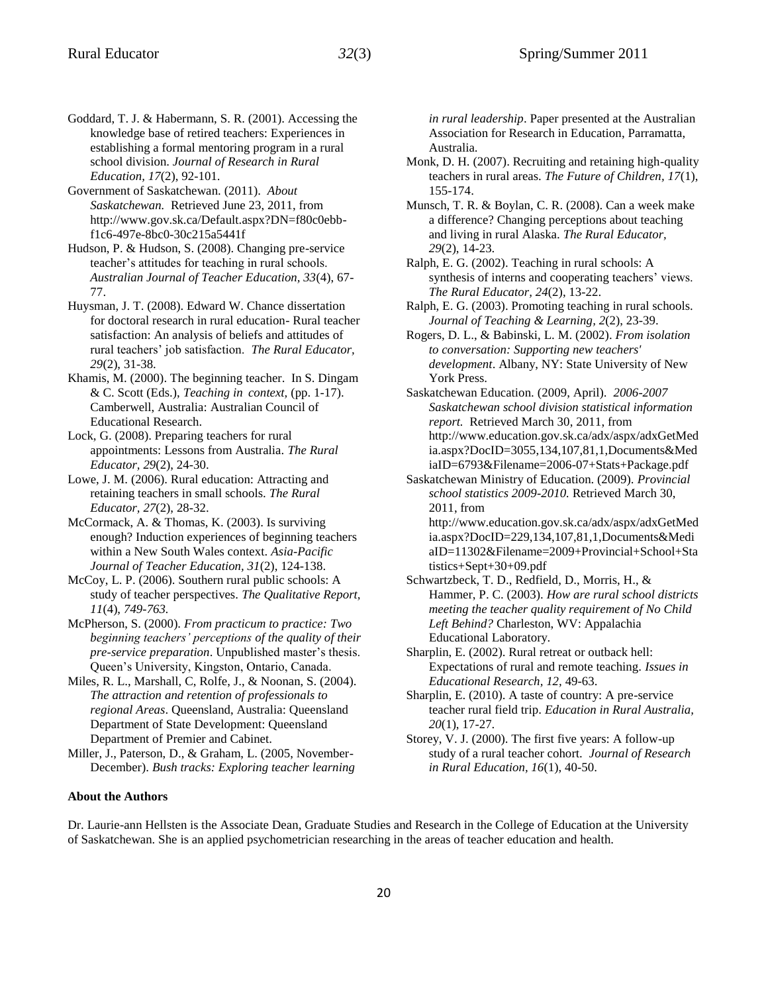- Goddard, T. J. & Habermann, S. R. (2001). Accessing the knowledge base of retired teachers: Experiences in establishing a formal mentoring program in a rural school division. *Journal of Research in Rural Education, 17*(2), 92-101.
- Government of Saskatchewan. (2011). *About Saskatchewan.* Retrieved June 23, 2011, from http://www.gov.sk.ca/Default.aspx?DN=f80c0ebbf1c6-497e-8bc0-30c215a5441f
- Hudson, P. & Hudson, S. (2008). Changing pre-service teacher's attitudes for teaching in rural schools. *Australian Journal of Teacher Education, 33*(4), 67- 77.
- Huysman, J. T. (2008). Edward W. Chance dissertation for doctoral research in rural education- Rural teacher satisfaction: An analysis of beliefs and attitudes of rural teachers' job satisfaction. *The Rural Educator, 29*(2), 31-38.
- Khamis, M. (2000). The beginning teacher. In S. Dingam & C. Scott (Eds.), *Teaching in context,* (pp. 1-17). Camberwell, Australia: Australian Council of Educational Research.
- Lock, G. (2008). Preparing teachers for rural appointments: Lessons from Australia. *The Rural Educator, 29*(2), 24-30.
- Lowe, J. M. (2006). Rural education: Attracting and retaining teachers in small schools. *The Rural Educator, 27*(2), 28-32.
- McCormack, A. & Thomas, K. (2003). Is surviving enough? Induction experiences of beginning teachers within a New South Wales context. *Asia-Pacific Journal of Teacher Education, 31*(2), 124-138.
- McCoy, L. P. (2006). Southern rural public schools: A study of teacher perspectives. *The Qualitative Report, 11*(4), *749-763.*
- McPherson, S. (2000). *From practicum to practice: Two beginning teachers' perceptions of the quality of their pre-service preparation*. Unpublished master's thesis. Queen's University, Kingston, Ontario, Canada.
- Miles, R. L., Marshall, C, Rolfe, J., & Noonan, S. (2004). *The attraction and retention of professionals to regional Areas*. Queensland, Australia: Queensland Department of State Development: Queensland Department of Premier and Cabinet.
- Miller, J., Paterson, D., & Graham, L. (2005, November-December). *Bush tracks: Exploring teacher learning*

*in rural leadership*. Paper presented at the Australian Association for Research in Education, Parramatta, Australia.

- Monk, D. H. (2007). Recruiting and retaining high-quality teachers in rural areas. *The Future of Children, 17*(1), 155-174.
- Munsch, T. R. & Boylan, C. R. (2008). Can a week make a difference? Changing perceptions about teaching and living in rural Alaska. *The Rural Educator, 29*(2), 14-23.
- Ralph, E. G. (2002). Teaching in rural schools: A synthesis of interns and cooperating teachers' views. *The Rural Educator, 24*(2), 13-22.
- Ralph, E. G. (2003). Promoting teaching in rural schools. *Journal of Teaching & Learning, 2*(2), 23-39.
- Rogers, D. L., & Babinski, L. M. (2002). *From isolation to conversation: Supporting new teachers' development*. Albany, NY: State University of New York Press.
- Saskatchewan Education. (2009, April). *2006-2007 Saskatchewan school division statistical information report.* Retrieved March 30, 2011, from http://www.education.gov.sk.ca/adx/aspx/adxGetMed ia.aspx?DocID=3055,134,107,81,1,Documents&Med iaID=6793&Filename=2006-07+Stats+Package.pdf
- Saskatchewan Ministry of Education. (2009). *Provincial school statistics 2009-2010.* Retrieved March 30, 2011, from http://www.education.gov.sk.ca/adx/aspx/adxGetMed
	- ia.aspx?DocID=229,134,107,81,1,Documents&Medi aID=11302&Filename=2009+Provincial+School+Sta tistics+Sept+30+09.pdf
- Schwartzbeck, T. D., Redfield, D., Morris, H., & Hammer, P. C. (2003). *How are rural school districts meeting the teacher quality requirement of No Child Left Behind?* Charleston, WV: Appalachia Educational Laboratory.
- Sharplin, E. (2002). Rural retreat or outback hell: Expectations of rural and remote teaching. *Issues in Educational Research, 12,* 49-63.
- Sharplin, E. (2010). A taste of country: A pre-service teacher rural field trip. *Education in Rural Australia, 20*(1), 17-27.
- Storey, V. J. (2000). The first five years: A follow-up study of a rural teacher cohort. *Journal of Research in Rural Education, 16*(1), 40-50.

#### **About the Authors**

Dr. Laurie-ann Hellsten is the Associate Dean, Graduate Studies and Research in the College of Education at the University of Saskatchewan. She is an applied psychometrician researching in the areas of teacher education and health.